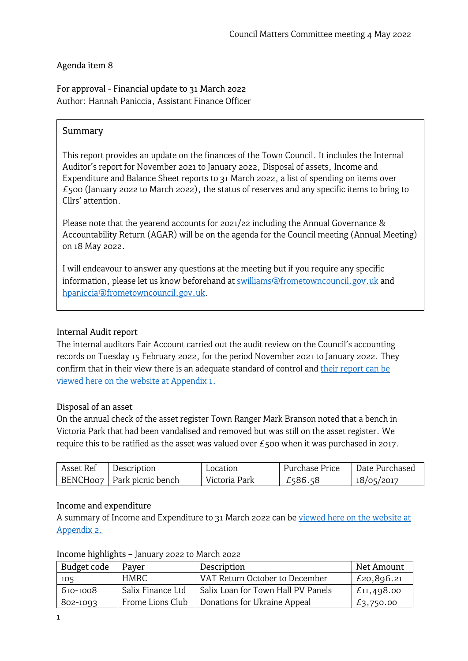### Agenda item 8

For approval - Financial update to 31 March 2022 Author: Hannah Paniccia, Assistant Finance Officer

### Summary

This report provides an update on the finances of the Town Council. It includes the Internal Auditor's report for November 2021 to January 2022, Disposal of assets, Income and Expenditure and Balance Sheet reports to 31 March 2022, a list of spending on items over  $E$ 500 (January 2022 to March 2022), the status of reserves and any specific items to bring to Cllrs' attention.

Please note that the yearend accounts for 2021/22 including the Annual Governance & Accountability Return (AGAR) will be on the agenda for the Council meeting (Annual Meeting) on 18 May 2022.

I will endeavour to answer any questions at the meeting but if you require any specific information, please let us know beforehand at [swilliams@frometowncouncil.gov.uk](mailto:swilliams@frometowncouncil.gov.uk) and [hpaniccia@frometowncouncil.gov.uk.](mailto:hpaniccia@frometowncouncil.gov.uk)

#### Internal Audit report

The internal auditors Fair Account carried out the audit review on the Council's accounting records on Tuesday 15 February 2022, for the period November 2021 to January 2022. They confirm that in their view there is an adequate standard of control and [their report can be](https://www.frometowncouncil.gov.uk/wp-content/uploads/2022/04/Appendix-1-Frome-TC-Internal-Auditor-letter-Nov-21-to-Jan-22.pdf)  viewed here [on the website at Appendix 1.](https://www.frometowncouncil.gov.uk/wp-content/uploads/2022/04/Appendix-1-Frome-TC-Internal-Auditor-letter-Nov-21-to-Jan-22.pdf)

#### Disposal of an asset

On the annual check of the asset register Town Ranger Mark Branson noted that a bench in Victoria Park that had been vandalised and removed but was still on the asset register. We require this to be ratified as the asset was valued over £500 when it was purchased in 2017.

| Asset Ref | Description                  | Location      | Purchase Price | Date Purchased |
|-----------|------------------------------|---------------|----------------|----------------|
|           | BENCH007   Park picnic bench | Victoria Park | £586.58        | 18/05/2017     |

#### Income and expenditure

A summary of Income and Expenditure to 31 March 2022 can be viewed here on the website at [Appendix 2.](https://www.frometowncouncil.gov.uk/wp-content/uploads/2022/04/Appendix-2-Detailed-Income-Expenditure-by-Budget-Heading-31_03_2022.pdf)

| Budget code | Payer             | Description                        | Net Amount      |
|-------------|-------------------|------------------------------------|-----------------|
| 105         | HMRC.             | VAT Return October to December     | £20,896.21      |
| 610-1008    | Salix Finance Ltd | Salix Loan for Town Hall PV Panels | $L_{11,498.00}$ |
| 802-1093    | Frome Lions Club  | Donations for Ukraine Appeal       | £3,750.00       |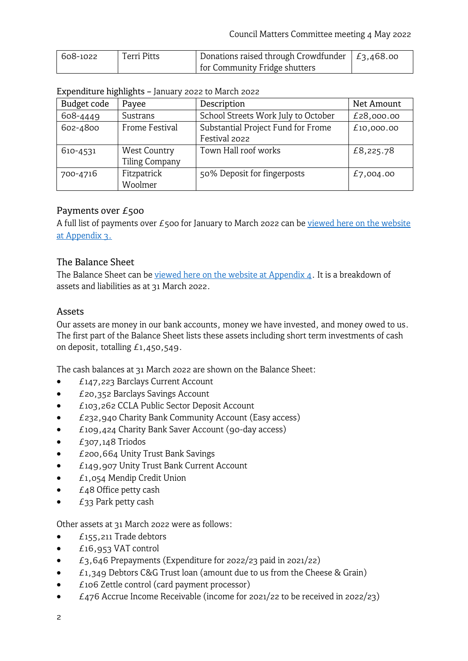| 608-1022 | <b>Terri Pitts</b> | Donations raised through Crowdfunder $ E_3,468.$ oo |  |
|----------|--------------------|-----------------------------------------------------|--|
|          |                    | for Community Fridge shutters                       |  |

#### Expenditure highlights – January 2022 to March 2022

| Budget code | Payee                 | Description                         | Net Amount |
|-------------|-----------------------|-------------------------------------|------------|
| 608-4449    | Sustrans              | School Streets Work July to October | £28,000.00 |
| 602-4800    | <b>Frome Festival</b> | Substantial Project Fund for Frome  | £10,000.00 |
|             |                       | Festival 2022                       |            |
| 610-4531    | <b>West Country</b>   | Town Hall roof works                | £8,225.78  |
|             | <b>Tiling Company</b> |                                     |            |
| 700-4716    | Fitzpatrick           | 50% Deposit for fingerposts         | £7,004.00  |
|             | Woolmer               |                                     |            |

#### Payments over £500

A full list of payments over  $E_5$ 00 for January to March 2022 can be viewed here on the website [at Appendix 3.](https://www.frometowncouncil.gov.uk/wp-content/uploads/2022/04/Appendix-3-Payments-over-500-Jan-Mar-2022.pdf)

#### The Balance Sheet

The Balance Sheet can be viewed here [on the website at Appendix 4.](https://www.frometowncouncil.gov.uk/wp-content/uploads/2022/04/Appendix-4-Balance-Sheet-as-at-31_03_2022.pdf) It is a breakdown of assets and liabilities as at 31 March 2022.

#### Assets

Our assets are money in our bank accounts, money we have invested, and money owed to us. The first part of the Balance Sheet lists these assets including short term investments of cash on deposit, totalling £1,450,549.

The cash balances at 31 March 2022 are shown on the Balance Sheet:

- £147,223 Barclays Current Account
- £20,352 Barclays Savings Account
- £103,262 CCLA Public Sector Deposit Account
- £232,940 Charity Bank Community Account (Easy access)
- £109,424 Charity Bank Saver Account (90-day access)
- £307,148 Triodos
- £200,664 Unity Trust Bank Savings
- £149,907 Unity Trust Bank Current Account
- £1,054 Mendip Credit Union
- $\bullet$   $E_48$  Office petty cash
- $\bullet$   $E_{33}$  Park petty cash

Other assets at 31 March 2022 were as follows:

- £155,211 Trade debtors
- £16,953 VAT control
- $E_3,646$  Prepayments (Expenditure for 2022/23 paid in 2021/22)
- $f_1, 349$  Debtors C&G Trust loan (amount due to us from the Cheese & Grain)
- $£106$  Zettle control (card payment processor)
- £476 Accrue Income Receivable (income for 2021/22 to be received in 2022/23)